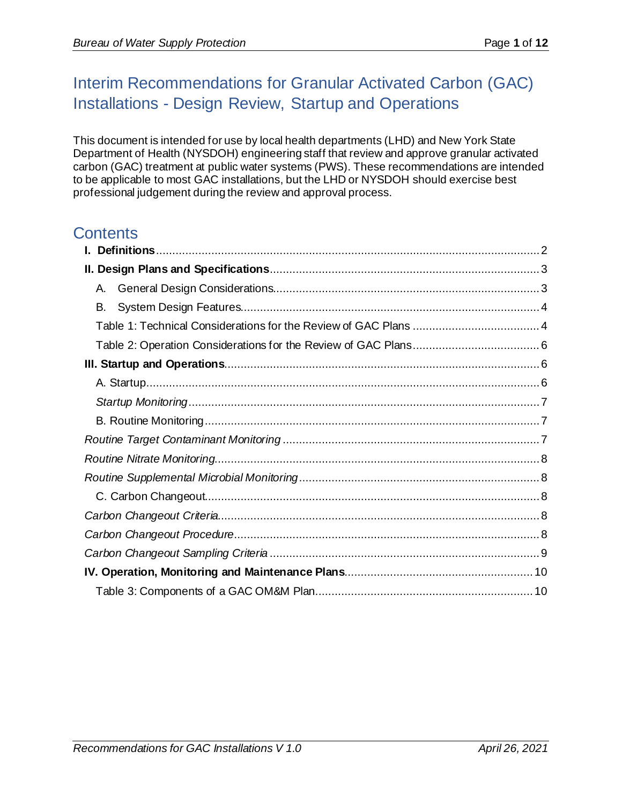## Interim Recommendations for Granular Activated Carbon (GAC) Installations - Design Review, Startup and Operations

This document is intended for use by local health departments (LHD) and New York State Department of Health (NYSDOH) engineering staff that review and approve granular activated carbon (GAC) treatment at public water systems (PWS). These recommendations are intended to be applicable to most GAC installations, but the LHD or NYSDOH should exercise best professional judgement during the review and approval process.

## **Contents**

| А. |  |  |
|----|--|--|
| В. |  |  |
|    |  |  |
|    |  |  |
|    |  |  |
|    |  |  |
|    |  |  |
|    |  |  |
|    |  |  |
|    |  |  |
|    |  |  |
|    |  |  |
|    |  |  |
|    |  |  |
|    |  |  |
|    |  |  |
|    |  |  |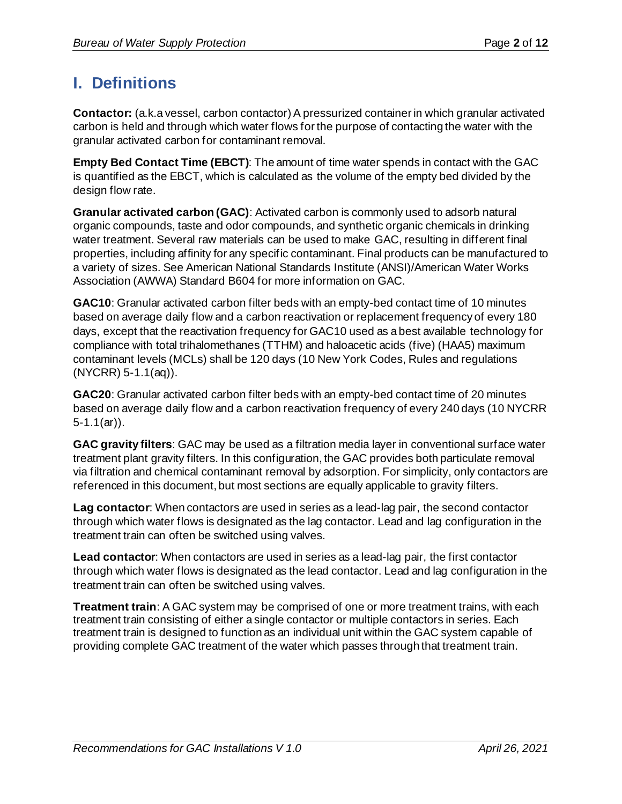## <span id="page-1-0"></span>**I. Definitions**

**Contactor:** (a.k.a vessel, carbon contactor) A pressurized container in which granular activated carbon is held and through which water flows for the purpose of contacting the water with the granular activated carbon for contaminant removal.

**Empty Bed Contact Time (EBCT)**: The amount of time water spends in contact with the GAC is quantified as the EBCT, which is calculated as the volume of the empty bed divided by the design flow rate.

**Granular activated carbon (GAC)**: Activated carbon is commonly used to adsorb natural organic compounds, taste and odor compounds, and synthetic organic chemicals in drinking water treatment. Several raw materials can be used to make GAC, resulting in different final properties, including affinity for any specific contaminant. Final products can be manufactured to a variety of sizes. See American National Standards Institute (ANSI)/American Water Works Association (AWWA) Standard B604 for more information on GAC.

**GAC10**: Granular activated carbon filter beds with an empty-bed contact time of 10 minutes based on average daily flow and a carbon reactivation or replacement frequency of every 180 days, except that the reactivation frequency for GAC10 used as a best available technology for compliance with total trihalomethanes (TTHM) and haloacetic acids (five) (HAA5) maximum contaminant levels (MCLs) shall be 120 days (10 New York Codes, Rules and regulations (NYCRR) 5-1.1(aq)).

**GAC20**: Granular activated carbon filter beds with an empty-bed contact time of 20 minutes based on average daily flow and a carbon reactivation frequency of every 240 days (10 NYCRR  $5-1.1$ (ar)).

**GAC gravity filters**: GAC may be used as a filtration media layer in conventional surface water treatment plant gravity filters. In this configuration, the GAC provides both particulate removal via filtration and chemical contaminant removal by adsorption. For simplicity, only contactors are referenced in this document, but most sections are equally applicable to gravity filters.

**Lag contactor**: When contactors are used in series as a lead-lag pair, the second contactor through which water flows is designated as the lag contactor. Lead and lag configuration in the treatment train can often be switched using valves.

**Lead contactor**: When contactors are used in series as a lead-lag pair, the first contactor through which water flows is designated as the lead contactor. Lead and lag configuration in the treatment train can often be switched using valves.

**Treatment train**: A GAC system may be comprised of one or more treatment trains, with each treatment train consisting of either a single contactor or multiple contactors in series. Each treatment train is designed to function as an individual unit within the GAC system capable of providing complete GAC treatment of the water which passes through that treatment train.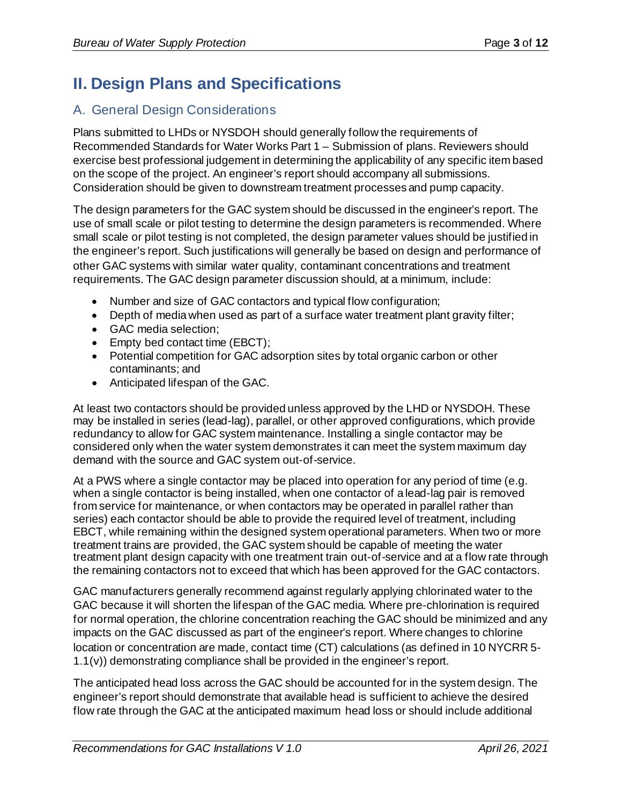# <span id="page-2-0"></span>**II. Design Plans and Specifications**

## <span id="page-2-1"></span>A. General Design Considerations

Plans submitted to LHDs or NYSDOH should generally follow the requirements of Recommended Standards for Water Works Part 1 – Submission of plans. Reviewers should exercise best professional judgement in determining the applicability of any specific item based on the scope of the project. An engineer's report should accompany all submissions. Consideration should be given to downstream treatment processes and pump capacity.

The design parameters for the GAC system should be discussed in the engineer's report. The use of small scale or pilot testing to determine the design parameters is recommended. Where small scale or pilot testing is not completed, the design parameter values should be justified in the engineer's report. Such justifications will generally be based on design and performance of other GAC systems with similar water quality, contaminant concentrations and treatment requirements. The GAC design parameter discussion should, at a minimum, include:

- Number and size of GAC contactors and typical flow configuration;
- Depth of media when used as part of a surface water treatment plant gravity filter;
- GAC media selection;
- Empty bed contact time (EBCT);
- Potential competition for GAC adsorption sites by total organic carbon or other contaminants; and
- Anticipated lifespan of the GAC.

At least two contactors should be provided unless approved by the LHD or NYSDOH. These may be installed in series (lead-lag), parallel, or other approved configurations, which provide redundancy to allow for GAC system maintenance. Installing a single contactor may be considered only when the water system demonstrates it can meet the system maximum day demand with the source and GAC system out-of-service.

At a PWS where a single contactor may be placed into operation for any period of time (e.g. when a single contactor is being installed, when one contactor of a lead-lag pair is removed from service for maintenance, or when contactors may be operated in parallel rather than series) each contactor should be able to provide the required level of treatment, including EBCT, while remaining within the designed system operational parameters. When two or more treatment trains are provided, the GAC system should be capable of meeting the water treatment plant design capacity with one treatment train out-of-service and at a flow rate through the remaining contactors not to exceed that which has been approved for the GAC contactors.

GAC manufacturers generally recommend against regularly applying chlorinated water to the GAC because it will shorten the lifespan of the GAC media. Where pre-chlorination is required for normal operation, the chlorine concentration reaching the GAC should be minimized and any impacts on the GAC discussed as part of the engineer's report. Where changes to chlorine location or concentration are made, contact time (CT) calculations (as defined in 10 NYCRR 5- 1.1(v)) demonstrating compliance shall be provided in the engineer's report.

The anticipated head loss across the GAC should be accounted for in the system design. The engineer's report should demonstrate that available head is sufficient to achieve the desired flow rate through the GAC at the anticipated maximum head loss or should include additional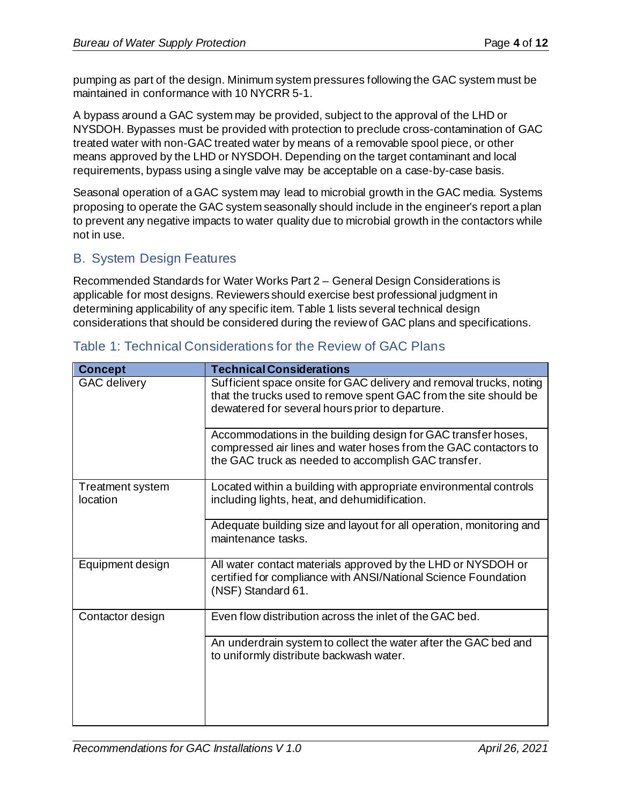pumping as part of the design. Minimum system pressures following the GAC system must be maintained in conformance with 10 NYCRR 5-1.

A bypass around a GAC system may be provided, subject to the approval of the LHD or NYSDOH. Bypasses must be provided with protection to preclude cross-contamination of GAC treated water with non-GAC treated water by means of a removable spool piece, or other means approved by the LHD or NYSDOH. Depending on the target contaminant and local requirements, bypass using a single valve may be acceptable on a case-by-case basis.

Seasonal operation of a GAC system may lead to microbial growth in the GAC media. Systems proposing to operate the GAC system seasonally should include in the engineer's report a plan to prevent any negative impacts to water quality due to microbial growth in the contactors while not in use.

## <span id="page-3-0"></span>B. System Design Features

Recommended Standards for Water Works Part 2 – General Design Considerations is applicable for most designs. Reviewers should exercise best professional judgment in determining applicability of any specific item. Table 1 lists several technical design considerations that should be considered during the review of GAC plans and specifications.

| <b>Concept</b>               | <b>Technical Considerations</b>                                                                                                                                                            |
|------------------------------|--------------------------------------------------------------------------------------------------------------------------------------------------------------------------------------------|
| <b>GAC</b> delivery          | Sufficient space onsite for GAC delivery and removal trucks, noting<br>that the trucks used to remove spent GAC from the site should be<br>dewatered for several hours prior to departure. |
|                              | Accommodations in the building design for GAC transfer hoses,<br>compressed air lines and water hoses from the GAC contactors to<br>the GAC truck as needed to accomplish GAC transfer.    |
| Treatment system<br>location | Located within a building with appropriate environmental controls<br>including lights, heat, and dehumidification.                                                                         |
|                              | Adequate building size and layout for all operation, monitoring and<br>maintenance tasks.                                                                                                  |
| Equipment design             | All water contact materials approved by the LHD or NYSDOH or<br>certified for compliance with ANSI/National Science Foundation<br>(NSF) Standard 61.                                       |
| Contactor design             | Even flow distribution across the inlet of the GAC bed.                                                                                                                                    |
|                              | An underdrain system to collect the water after the GAC bed and<br>to uniformly distribute backwash water.                                                                                 |

### <span id="page-3-1"></span>Table 1: Technical Considerations for the Review of GAC Plans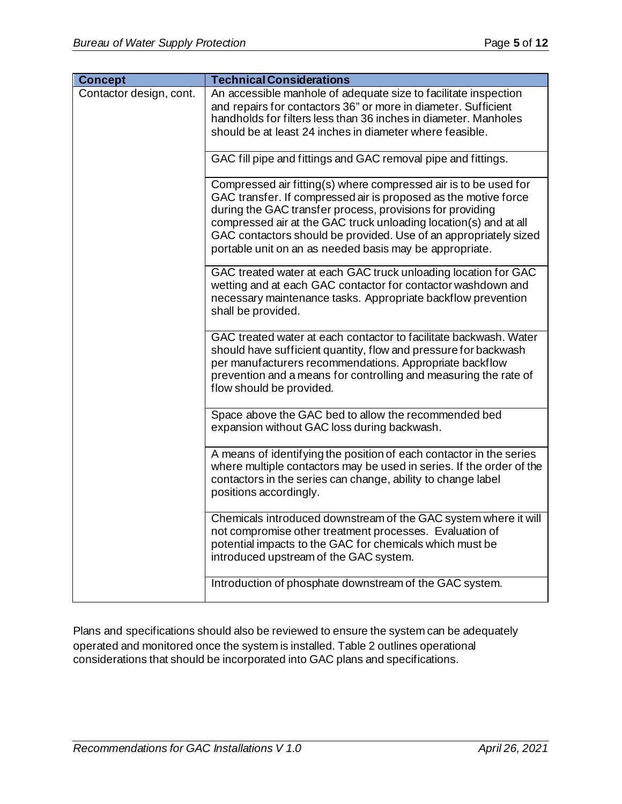| <b>Concept</b>          | <b>Technical Considerations</b>                                                                                                                                                                                                                                                                                                                                                                     |
|-------------------------|-----------------------------------------------------------------------------------------------------------------------------------------------------------------------------------------------------------------------------------------------------------------------------------------------------------------------------------------------------------------------------------------------------|
| Contactor design, cont. | An accessible manhole of adequate size to facilitate inspection<br>and repairs for contactors 36" or more in diameter. Sufficient<br>handholds for filters less than 36 inches in diameter. Manholes<br>should be at least 24 inches in diameter where feasible.                                                                                                                                    |
|                         | GAC fill pipe and fittings and GAC removal pipe and fittings.                                                                                                                                                                                                                                                                                                                                       |
|                         | Compressed air fitting(s) where compressed air is to be used for<br>GAC transfer. If compressed air is proposed as the motive force<br>during the GAC transfer process, provisions for providing<br>compressed air at the GAC truck unloading location(s) and at all<br>GAC contactors should be provided. Use of an appropriately sized<br>portable unit on an as needed basis may be appropriate. |
|                         | GAC treated water at each GAC truck unloading location for GAC<br>wetting and at each GAC contactor for contactor washdown and<br>necessary maintenance tasks. Appropriate backflow prevention<br>shall be provided.                                                                                                                                                                                |
|                         | GAC treated water at each contactor to facilitate backwash. Water<br>should have sufficient quantity, flow and pressure for backwash<br>per manufacturers recommendations. Appropriate backflow<br>prevention and a means for controlling and measuring the rate of<br>flow should be provided.                                                                                                     |
|                         | Space above the GAC bed to allow the recommended bed<br>expansion without GAC loss during backwash.                                                                                                                                                                                                                                                                                                 |
|                         | A means of identifying the position of each contactor in the series<br>where multiple contactors may be used in series. If the order of the<br>contactors in the series can change, ability to change label<br>positions accordingly.                                                                                                                                                               |
|                         | Chemicals introduced downstream of the GAC system where it will<br>not compromise other treatment processes. Evaluation of<br>potential impacts to the GAC for chemicals which must be<br>introduced upstream of the GAC system.                                                                                                                                                                    |
|                         | Introduction of phosphate downstream of the GAC system.                                                                                                                                                                                                                                                                                                                                             |

Plans and specifications should also be reviewed to ensure the system can be adequately operated and monitored once the system is installed. Table 2 outlines operational considerations that should be incorporated into GAC plans and specifications.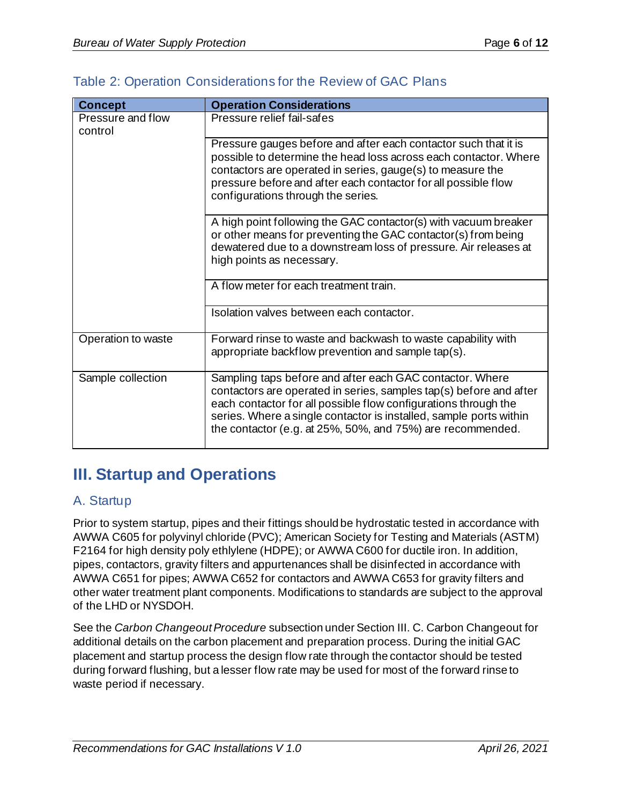| <b>Concept</b>               | <b>Operation Considerations</b>                                                                                                                                                                                                                                                                                                       |
|------------------------------|---------------------------------------------------------------------------------------------------------------------------------------------------------------------------------------------------------------------------------------------------------------------------------------------------------------------------------------|
| Pressure and flow<br>control | Pressure relief fail-safes                                                                                                                                                                                                                                                                                                            |
|                              | Pressure gauges before and after each contactor such that it is<br>possible to determine the head loss across each contactor. Where<br>contactors are operated in series, gauge(s) to measure the<br>pressure before and after each contactor for all possible flow<br>configurations through the series.                             |
|                              | A high point following the GAC contactor(s) with vacuum breaker<br>or other means for preventing the GAC contactor(s) from being<br>dewatered due to a downstream loss of pressure. Air releases at<br>high points as necessary.                                                                                                      |
|                              | A flow meter for each treatment train.                                                                                                                                                                                                                                                                                                |
|                              | Isolation valves between each contactor.                                                                                                                                                                                                                                                                                              |
| Operation to waste           | Forward rinse to waste and backwash to waste capability with<br>appropriate backflow prevention and sample tap(s).                                                                                                                                                                                                                    |
| Sample collection            | Sampling taps before and after each GAC contactor. Where<br>contactors are operated in series, samples tap(s) before and after<br>each contactor for all possible flow configurations through the<br>series. Where a single contactor is installed, sample ports within<br>the contactor (e.g. at 25%, 50%, and 75%) are recommended. |

### <span id="page-5-0"></span>Table 2: Operation Considerations for the Review of GAC Plans

## <span id="page-5-1"></span>**III. Startup and Operations**

### <span id="page-5-2"></span>A. Startup

Prior to system startup, pipes and their fittings should be hydrostatic tested in accordance with AWWA C605 for polyvinyl chloride (PVC); American Society for Testing and Materials (ASTM) F2164 for high density poly ethlylene (HDPE); or AWWA C600 for ductile iron. In addition, pipes, contactors, gravity filters and appurtenances shall be disinfected in accordance with AWWA C651 for pipes; AWWA C652 for contactors and AWWA C653 for gravity filters and other water treatment plant components. Modifications to standards are subject to the approval of the LHD or NYSDOH.

See the *Carbon Changeout Procedure* subsection under Section III. C. Carbon Changeout for additional details on the carbon placement and preparation process. During the initial GAC placement and startup process the design flow rate through the contactor should be tested during forward flushing, but a lesser flow rate may be used for most of the forward rinse to waste period if necessary.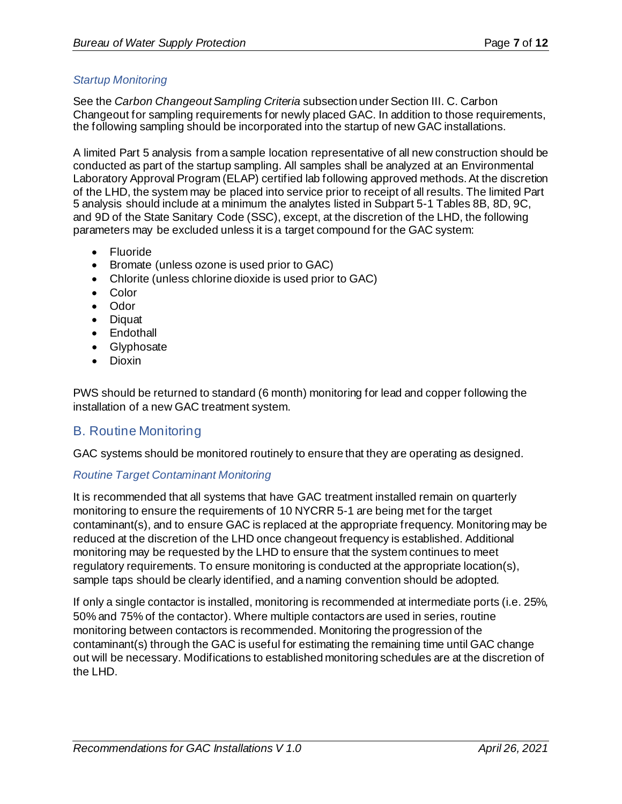#### <span id="page-6-0"></span>*Startup Monitoring*

See the *Carbon Changeout Sampling Criteria* subsection under Section III. C. Carbon Changeout for sampling requirements for newly placed GAC. In addition to those requirements, the following sampling should be incorporated into the startup of new GAC installations.

A limited Part 5 analysis from a sample location representative of all new construction should be conducted as part of the startup sampling. All samples shall be analyzed at an Environmental Laboratory Approval Program (ELAP) certified lab following approved methods. At the discretion of the LHD, the system may be placed into service prior to receipt of all results. The limited Part 5 analysis should include at a minimum the analytes listed in Subpart 5-1 Tables 8B, 8D, 9C, and 9D of the State Sanitary Code (SSC), except, at the discretion of the LHD, the following parameters may be excluded unless it is a target compound for the GAC system:

- Fluoride
- Bromate (unless ozone is used prior to GAC)
- Chlorite (unless chlorine dioxide is used prior to GAC)
- Color
- Odor
- Diquat
- Endothall
- Glyphosate
- Dioxin

PWS should be returned to standard (6 month) monitoring for lead and copper following the installation of a new GAC treatment system.

### <span id="page-6-1"></span>B. Routine Monitoring

GAC systems should be monitored routinely to ensure that they are operating as designed.

#### <span id="page-6-2"></span>*Routine Target Contaminant Monitoring*

It is recommended that all systems that have GAC treatment installed remain on quarterly monitoring to ensure the requirements of 10 NYCRR 5-1 are being met for the target contaminant(s), and to ensure GAC is replaced at the appropriate frequency. Monitoring may be reduced at the discretion of the LHD once changeout frequency is established. Additional monitoring may be requested by the LHD to ensure that the system continues to meet regulatory requirements. To ensure monitoring is conducted at the appropriate location(s), sample taps should be clearly identified, and a naming convention should be adopted.

If only a single contactor is installed, monitoring is recommended at intermediate ports (i.e. 25%, 50% and 75% of the contactor). Where multiple contactors are used in series, routine monitoring between contactors is recommended. Monitoring the progression of the contaminant(s) through the GAC is useful for estimating the remaining time until GAC change out will be necessary. Modifications to established monitoring schedules are at the discretion of the LHD.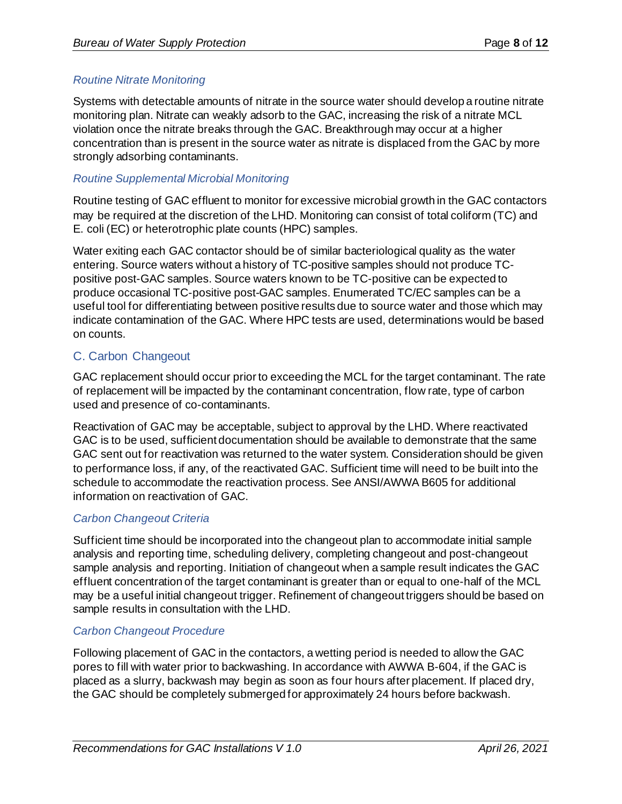#### <span id="page-7-0"></span>*Routine Nitrate Monitoring*

Systems with detectable amounts of nitrate in the source water should develop a routine nitrate monitoring plan. Nitrate can weakly adsorb to the GAC, increasing the risk of a nitrate MCL violation once the nitrate breaks through the GAC. Breakthrough may occur at a higher concentration than is present in the source water as nitrate is displaced from the GAC by more strongly adsorbing contaminants.

#### <span id="page-7-1"></span>*Routine Supplemental Microbial Monitoring*

Routine testing of GAC effluent to monitor for excessive microbial growth in the GAC contactors may be required at the discretion of the LHD. Monitoring can consist of total coliform (TC) and E. coli (EC) or heterotrophic plate counts (HPC) samples.

Water exiting each GAC contactor should be of similar bacteriological quality as the water entering. Source waters without a history of TC-positive samples should not produce TCpositive post-GAC samples. Source waters known to be TC-positive can be expected to produce occasional TC-positive post-GAC samples. Enumerated TC/EC samples can be a useful tool for differentiating between positive results due to source water and those which may indicate contamination of the GAC. Where HPC tests are used, determinations would be based on counts.

### <span id="page-7-2"></span>C. Carbon Changeout

GAC replacement should occur prior to exceeding the MCL for the target contaminant. The rate of replacement will be impacted by the contaminant concentration, flow rate, type of carbon used and presence of co-contaminants.

Reactivation of GAC may be acceptable, subject to approval by the LHD. Where reactivated GAC is to be used, sufficient documentation should be available to demonstrate that the same GAC sent out for reactivation was returned to the water system. Consideration should be given to performance loss, if any, of the reactivated GAC. Sufficient time will need to be built into the schedule to accommodate the reactivation process. See ANSI/AWWA B605 for additional information on reactivation of GAC.

#### <span id="page-7-3"></span>*Carbon Changeout Criteria*

Sufficient time should be incorporated into the changeout plan to accommodate initial sample analysis and reporting time, scheduling delivery, completing changeout and post-changeout sample analysis and reporting. Initiation of changeout when a sample result indicates the GAC effluent concentration of the target contaminant is greater than or equal to one-half of the MCL may be a useful initial changeout trigger. Refinement of changeout triggers should be based on sample results in consultation with the LHD.

#### <span id="page-7-4"></span>*Carbon Changeout Procedure*

Following placement of GAC in the contactors, a wetting period is needed to allow the GAC pores to fill with water prior to backwashing. In accordance with AWWA B-604, if the GAC is placed as a slurry, backwash may begin as soon as four hours after placement. If placed dry, the GAC should be completely submerged for approximately 24 hours before backwash.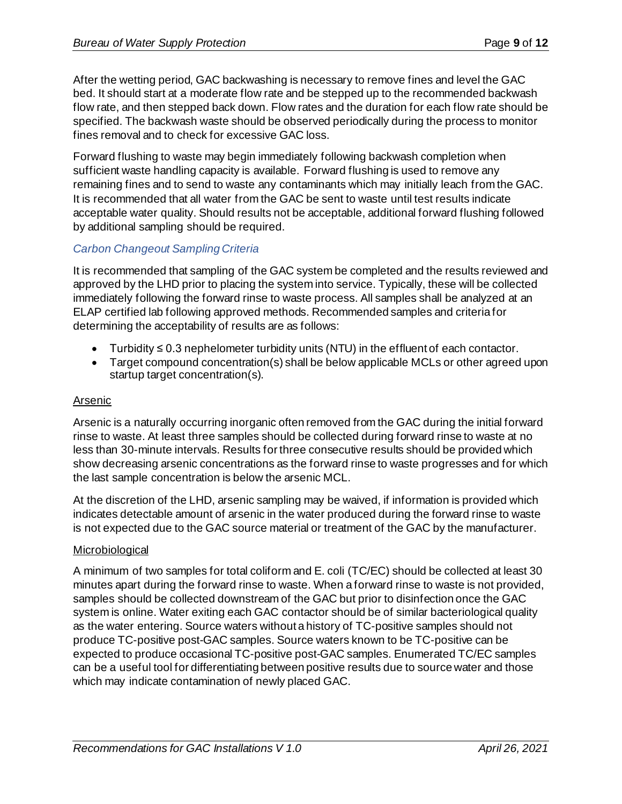After the wetting period, GAC backwashing is necessary to remove fines and level the GAC bed. It should start at a moderate flow rate and be stepped up to the recommended backwash flow rate, and then stepped back down. Flow rates and the duration for each flow rate should be specified. The backwash waste should be observed periodically during the process to monitor fines removal and to check for excessive GAC loss.

Forward flushing to waste may begin immediately following backwash completion when sufficient waste handling capacity is available. Forward flushing is used to remove any remaining fines and to send to waste any contaminants which may initially leach from the GAC. It is recommended that all water from the GAC be sent to waste until test results indicate acceptable water quality. Should results not be acceptable, additional forward flushing followed by additional sampling should be required.

#### <span id="page-8-0"></span>*Carbon Changeout Sampling Criteria*

It is recommended that sampling of the GAC system be completed and the results reviewed and approved by the LHD prior to placing the system into service. Typically, these will be collected immediately following the forward rinse to waste process. All samples shall be analyzed at an ELAP certified lab following approved methods. Recommended samples and criteria for determining the acceptability of results are as follows:

- Turbidity ≤ 0.3 nephelometer turbidity units (NTU) in the effluent of each contactor.
- Target compound concentration(s) shall be below applicable MCLs or other agreed upon startup target concentration(s).

#### Arsenic

Arsenic is a naturally occurring inorganic often removed from the GAC during the initial forward rinse to waste. At least three samples should be collected during forward rinse to waste at no less than 30-minute intervals. Results for three consecutive results should be provided which show decreasing arsenic concentrations as the forward rinse to waste progresses and for which the last sample concentration is below the arsenic MCL.

At the discretion of the LHD, arsenic sampling may be waived, if information is provided which indicates detectable amount of arsenic in the water produced during the forward rinse to waste is not expected due to the GAC source material or treatment of the GAC by the manufacturer.

#### **Microbiological**

A minimum of two samples for total coliform and E. coli (TC/EC) should be collected at least 30 minutes apart during the forward rinse to waste. When a forward rinse to waste is not provided, samples should be collected downstream of the GAC but prior to disinfection once the GAC system is online. Water exiting each GAC contactor should be of similar bacteriological quality as the water entering. Source waters without a history of TC-positive samples should not produce TC-positive post-GAC samples. Source waters known to be TC-positive can be expected to produce occasional TC-positive post-GAC samples. Enumerated TC/EC samples can be a useful tool for differentiating between positive results due to source water and those which may indicate contamination of newly placed GAC.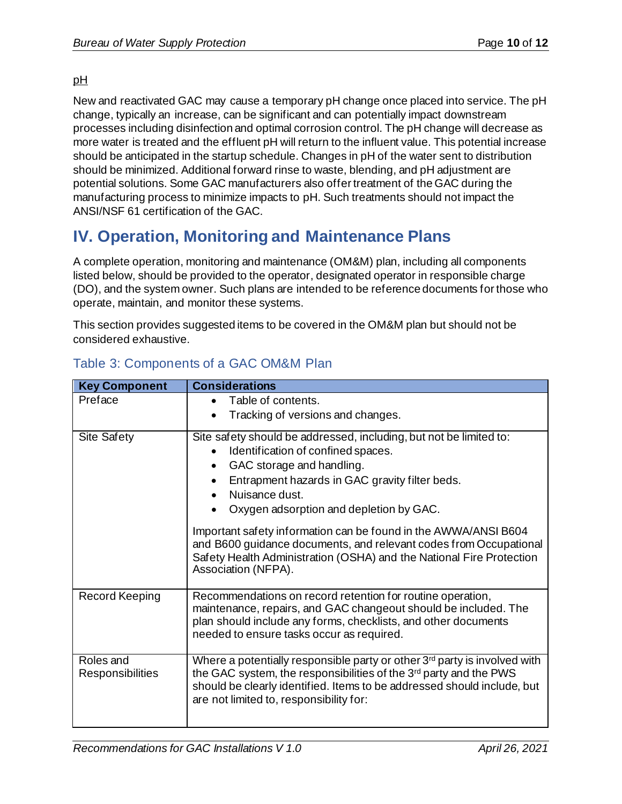#### pH

New and reactivated GAC may cause a temporary pH change once placed into service. The pH change, typically an increase, can be significant and can potentially impact downstream processes including disinfection and optimal corrosion control. The pH change will decrease as more water is treated and the effluent pH will return to the influent value. This potential increase should be anticipated in the startup schedule. Changes in pH of the water sent to distribution should be minimized. Additional forward rinse to waste, blending, and pH adjustment are potential solutions. Some GAC manufacturers also offer treatment of the GAC during the manufacturing process to minimize impacts to pH. Such treatments should not impact the ANSI/NSF 61 certification of the GAC.

## <span id="page-9-0"></span>**IV. Operation, Monitoring and Maintenance Plans**

A complete operation, monitoring and maintenance (OM&M) plan, including all components listed below, should be provided to the operator, designated operator in responsible charge (DO), and the system owner. Such plans are intended to be reference documents for those who operate, maintain, and monitor these systems.

This section provides suggested items to be covered in the OM&M plan but should not be considered exhaustive.

| <b>Key Component</b>          | <b>Considerations</b>                                                                                                                                                                                                                                                                                                                                                                                                                                                                                         |
|-------------------------------|---------------------------------------------------------------------------------------------------------------------------------------------------------------------------------------------------------------------------------------------------------------------------------------------------------------------------------------------------------------------------------------------------------------------------------------------------------------------------------------------------------------|
| Preface                       | Table of contents.<br>$\bullet$                                                                                                                                                                                                                                                                                                                                                                                                                                                                               |
|                               | Tracking of versions and changes.                                                                                                                                                                                                                                                                                                                                                                                                                                                                             |
| <b>Site Safety</b>            | Site safety should be addressed, including, but not be limited to:<br>Identification of confined spaces.<br>GAC storage and handling.<br>٠<br>Entrapment hazards in GAC gravity filter beds.<br>Nuisance dust.<br>$\bullet$<br>Oxygen adsorption and depletion by GAC.<br>Important safety information can be found in the AWWA/ANSI B604<br>and B600 guidance documents, and relevant codes from Occupational<br>Safety Health Administration (OSHA) and the National Fire Protection<br>Association (NFPA). |
| Record Keeping                | Recommendations on record retention for routine operation,<br>maintenance, repairs, and GAC changeout should be included. The<br>plan should include any forms, checklists, and other documents<br>needed to ensure tasks occur as required.                                                                                                                                                                                                                                                                  |
| Roles and<br>Responsibilities | Where a potentially responsible party or other 3 <sup>rd</sup> party is involved with<br>the GAC system, the responsibilities of the 3rd party and the PWS<br>should be clearly identified. Items to be addressed should include, but<br>are not limited to, responsibility for:                                                                                                                                                                                                                              |

## <span id="page-9-1"></span>Table 3: Components of a GAC OM&M Plan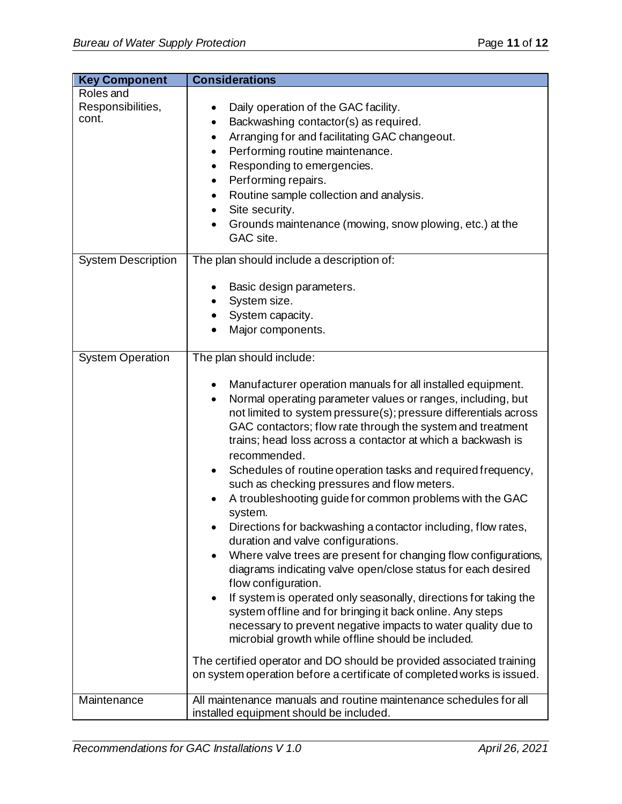| <b>Key Component</b>                    | <b>Considerations</b>                                                                                                                                                                                                                                                                                                                                                                                                                                                                                                                                                                                                                                                                                                                                                                                                                                                                                                                                                                                                                                                                                                                                                                                                                                                                |
|-----------------------------------------|--------------------------------------------------------------------------------------------------------------------------------------------------------------------------------------------------------------------------------------------------------------------------------------------------------------------------------------------------------------------------------------------------------------------------------------------------------------------------------------------------------------------------------------------------------------------------------------------------------------------------------------------------------------------------------------------------------------------------------------------------------------------------------------------------------------------------------------------------------------------------------------------------------------------------------------------------------------------------------------------------------------------------------------------------------------------------------------------------------------------------------------------------------------------------------------------------------------------------------------------------------------------------------------|
| Roles and<br>Responsibilities,<br>cont. | Daily operation of the GAC facility.<br>Backwashing contactor(s) as required.<br>$\bullet$<br>Arranging for and facilitating GAC changeout.<br>٠<br>Performing routine maintenance.<br>٠<br>Responding to emergencies.<br>٠<br>Performing repairs.<br>٠<br>Routine sample collection and analysis.<br>$\bullet$<br>Site security.<br>٠<br>Grounds maintenance (mowing, snow plowing, etc.) at the<br>GAC site.                                                                                                                                                                                                                                                                                                                                                                                                                                                                                                                                                                                                                                                                                                                                                                                                                                                                       |
| <b>System Description</b>               | The plan should include a description of:                                                                                                                                                                                                                                                                                                                                                                                                                                                                                                                                                                                                                                                                                                                                                                                                                                                                                                                                                                                                                                                                                                                                                                                                                                            |
|                                         | Basic design parameters.<br>System size.<br>System capacity.<br>Major components.                                                                                                                                                                                                                                                                                                                                                                                                                                                                                                                                                                                                                                                                                                                                                                                                                                                                                                                                                                                                                                                                                                                                                                                                    |
| <b>System Operation</b>                 | The plan should include:<br>Manufacturer operation manuals for all installed equipment.<br>Normal operating parameter values or ranges, including, but<br>$\bullet$<br>not limited to system pressure(s); pressure differentials across<br>GAC contactors; flow rate through the system and treatment<br>trains; head loss across a contactor at which a backwash is<br>recommended.<br>Schedules of routine operation tasks and required frequency,<br>$\bullet$<br>such as checking pressures and flow meters.<br>A troubleshooting guide for common problems with the GAC<br>system.<br>Directions for backwashing a contactor including, flow rates,<br>duration and valve configurations.<br>Where valve trees are present for changing flow configurations,<br>$\bullet$<br>diagrams indicating valve open/close status for each desired<br>flow configuration.<br>If system is operated only seasonally, directions for taking the<br>٠<br>system offline and for bringing it back online. Any steps<br>necessary to prevent negative impacts to water quality due to<br>microbial growth while offline should be included.<br>The certified operator and DO should be provided associated training<br>on system operation before a certificate of completed works is issued. |
| Maintenance                             | All maintenance manuals and routine maintenance schedules for all<br>installed equipment should be included.                                                                                                                                                                                                                                                                                                                                                                                                                                                                                                                                                                                                                                                                                                                                                                                                                                                                                                                                                                                                                                                                                                                                                                         |